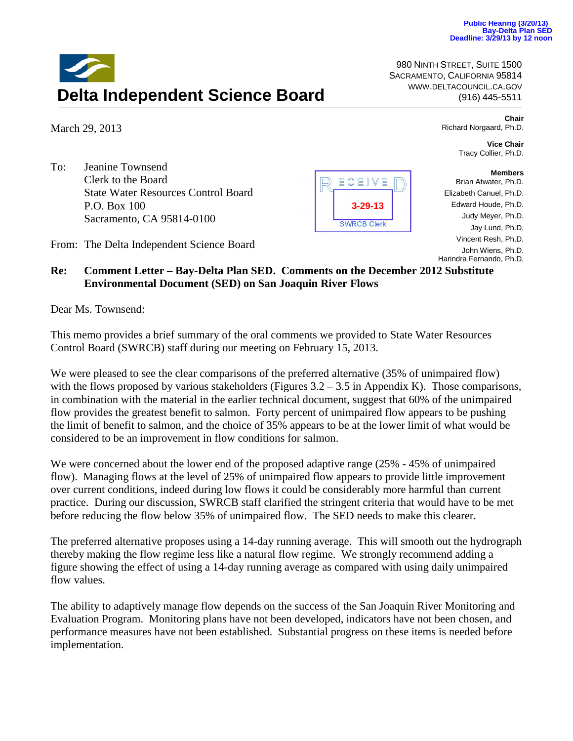980 NINTH STREET, SUITE 1500 SACRAMENTO, CALIFORNIA 95814 WWW.DELTACOUNCIL.CA.GOV

(916) 445-5511**Delta Independent Science Board**

March 29, 2013

To: Jeanine Townsend Clerk to the Board State Water Resources Control Board P.O. Box 100 Sacramento, CA 95814-0100

From: The Delta Independent Science Board



**Chair** Richard Norgaard, Ph.D.

> **Vice Chair** Tracy Collier, Ph.D.

## **Members**

- Brian Atwater, Ph.D.
- Elizabeth Canuel, Ph.D.
- Edward Houde, Ph.D.
	- Judy Meyer, Ph.D.
	- Jay Lund, Ph.D.
	- Vincent Resh, Ph.D.

John Wiens, Ph.D. Harindra Fernando, Ph.D.

## **Re: Comment Letter – Bay-Delta Plan SED. Comments on the December 2012 Substitute Environmental Document (SED) on San Joaquin River Flows**

Dear Ms. Townsend:

This memo provides a brief summary of the oral comments we provided to State Water Resources Control Board (SWRCB) staff during our meeting on February 15, 2013.

We were pleased to see the clear comparisons of the preferred alternative (35% of unimpaired flow) with the flows proposed by various stakeholders (Figures  $3.2 - 3.5$  in Appendix K). Those comparisons, in combination with the material in the earlier technical document, suggest that 60% of the unimpaired flow provides the greatest benefit to salmon. Forty percent of unimpaired flow appears to be pushing the limit of benefit to salmon, and the choice of 35% appears to be at the lower limit of what would be considered to be an improvement in flow conditions for salmon.

We were concerned about the lower end of the proposed adaptive range (25% - 45% of unimpaired flow). Managing flows at the level of 25% of unimpaired flow appears to provide little improvement over current conditions, indeed during low flows it could be considerably more harmful than current practice. During our discussion, SWRCB staff clarified the stringent criteria that would have to be met before reducing the flow below 35% of unimpaired flow. The SED needs to make this clearer.

The preferred alternative proposes using a 14-day running average. This will smooth out the hydrograph thereby making the flow regime less like a natural flow regime. We strongly recommend adding a figure showing the effect of using a 14-day running average as compared with using daily unimpaired flow values.

The ability to adaptively manage flow depends on the success of the San Joaquin River Monitoring and Evaluation Program. Monitoring plans have not been developed, indicators have not been chosen, and performance measures have not been established. Substantial progress on these items is needed before implementation.